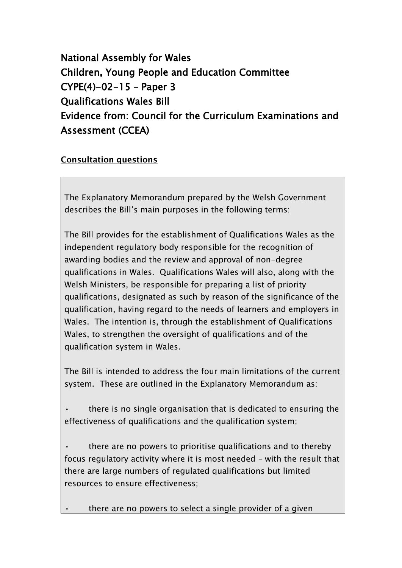National Assembly for Wales Children, Young People and Education Committee CYPE(4)-02-15 – Paper 3 Qualifications Wales Bill Evidence from: Council for the Curriculum Examinations and Assessment (CCEA)

## **Consultation questions**

The Explanatory Memorandum prepared by the Welsh Government describes the Bill's main purposes in the following terms:

The Bill provides for the establishment of Qualifications Wales as the independent regulatory body responsible for the recognition of awarding bodies and the review and approval of non-degree qualifications in Wales. Qualifications Wales will also, along with the Welsh Ministers, be responsible for preparing a list of priority qualifications, designated as such by reason of the significance of the qualification, having regard to the needs of learners and employers in Wales. The intention is, through the establishment of Qualifications Wales, to strengthen the oversight of qualifications and of the qualification system in Wales.

The Bill is intended to address the four main limitations of the current system. These are outlined in the Explanatory Memorandum as:

• there is no single organisation that is dedicated to ensuring the effectiveness of qualifications and the qualification system;

• there are no powers to prioritise qualifications and to thereby focus regulatory activity where it is most needed – with the result that there are large numbers of regulated qualifications but limited resources to ensure effectiveness;

there are no powers to select a single provider of a given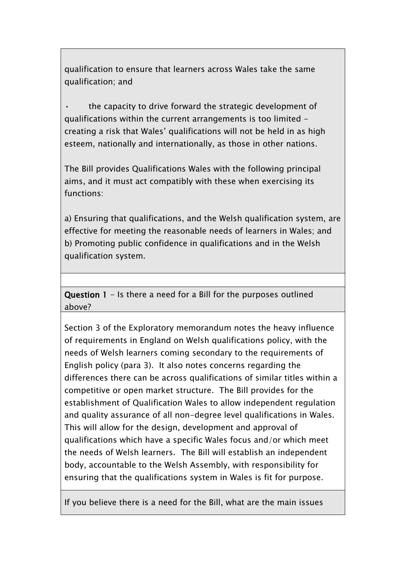qualification to ensure that learners across Wales take the same qualification; and

the capacity to drive forward the strategic development of qualifications within the current arrangements is too limited creating a risk that Wales' qualifications will not be held in as high esteem, nationally and internationally, as those in other nations.

The Bill provides Qualifications Wales with the following principal aims, and it must act compatibly with these when exercising its functions:

a) Ensuring that qualifications, and the Welsh qualification system, are effective for meeting the reasonable needs of learners in Wales; and b) Promoting public confidence in qualifications and in the Welsh qualification system.

Question 1 - Is there a need for a Bill for the purposes outlined above?

Section 3 of the Exploratory memorandum notes the heavy influence of requirements in England on Welsh qualifications policy, with the needs of Welsh learners coming secondary to the requirements of English policy (para 3). It also notes concerns regarding the differences there can be across qualifications of similar titles within a competitive or open market structure. The Bill provides for the establishment of Qualification Wales to allow independent regulation and quality assurance of all non-degree level qualifications in Wales. This will allow for the design, development and approval of qualifications which have a specific Wales focus and/or which meet the needs of Welsh learners. The Bill will establish an independent body, accountable to the Welsh Assembly, with responsibility for ensuring that the qualifications system in Wales is fit for purpose.

If you believe there is a need for the Bill, what are the main issues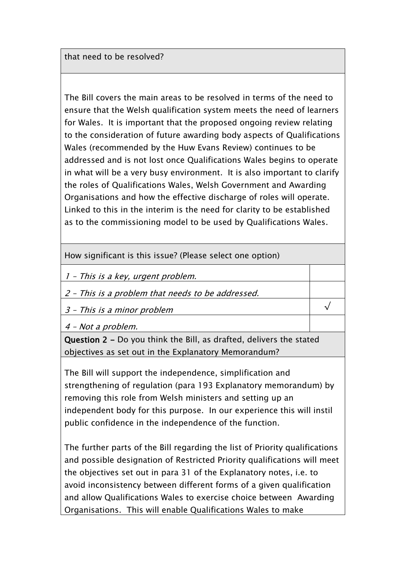that need to be resolved?

The Bill covers the main areas to be resolved in terms of the need to ensure that the Welsh qualification system meets the need of learners for Wales. It is important that the proposed ongoing review relating to the consideration of future awarding body aspects of Qualifications Wales (recommended by the Huw Evans Review) continues to be addressed and is not lost once Qualifications Wales begins to operate in what will be a very busy environment. It is also important to clarify the roles of Qualifications Wales, Welsh Government and Awarding Organisations and how the effective discharge of roles will operate. Linked to this in the interim is the need for clarity to be established as to the commissioning model to be used by Qualifications Wales.

How significant is this issue? (Please select one option)

1 – This is a key, urgent problem.

2 – This is a problem that needs to be addressed.

3 – This is a minor problem

4 – Not a problem.

Question 2 - Do you think the Bill, as drafted, delivers the stated objectives as set out in the Explanatory Memorandum?

√

The Bill will support the independence, simplification and strengthening of regulation (para 193 Explanatory memorandum) by removing this role from Welsh ministers and setting up an independent body for this purpose. In our experience this will instil public confidence in the independence of the function.

The further parts of the Bill regarding the list of Priority qualifications and possible designation of Restricted Priority qualifications will meet the objectives set out in para 31 of the Explanatory notes, i.e. to avoid inconsistency between different forms of a given qualification and allow Qualifications Wales to exercise choice between Awarding Organisations. This will enable Qualifications Wales to make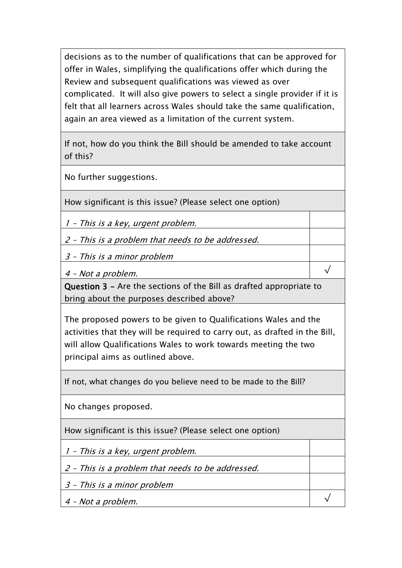decisions as to the number of qualifications that can be approved for offer in Wales, simplifying the qualifications offer which during the Review and subsequent qualifications was viewed as over complicated. It will also give powers to select a single provider if it is felt that all learners across Wales should take the same qualification, again an area viewed as a limitation of the current system.

If not, how do you think the Bill should be amended to take account of this?

No further suggestions.

How significant is this issue? (Please select one option)

1 – This is a key, urgent problem.

2 – This is a problem that needs to be addressed.

3 – This is a minor problem

4 – Not a problem.

Question 3 - Are the sections of the Bill as drafted appropriate to bring about the purposes described above?

√

√

The proposed powers to be given to Qualifications Wales and the activities that they will be required to carry out, as drafted in the Bill, will allow Qualifications Wales to work towards meeting the two principal aims as outlined above.

If not, what changes do you believe need to be made to the Bill?

No changes proposed.

How significant is this issue? (Please select one option)

1 – This is a key, urgent problem.

2 – This is a problem that needs to be addressed.

3 – This is a minor problem

4 – Not a problem.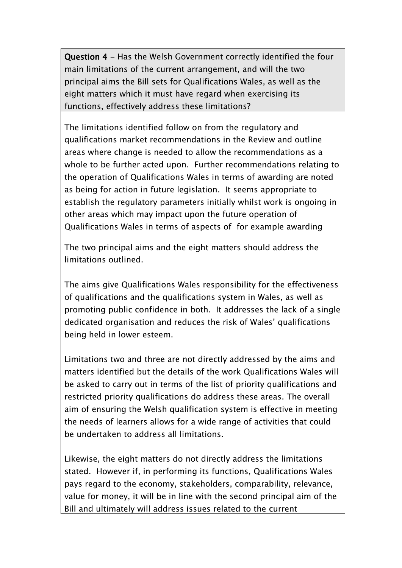Question 4 - Has the Welsh Government correctly identified the four main limitations of the current arrangement, and will the two principal aims the Bill sets for Qualifications Wales, as well as the eight matters which it must have regard when exercising its functions, effectively address these limitations?

The limitations identified follow on from the regulatory and qualifications market recommendations in the Review and outline areas where change is needed to allow the recommendations as a whole to be further acted upon. Further recommendations relating to the operation of Qualifications Wales in terms of awarding are noted as being for action in future legislation. It seems appropriate to establish the regulatory parameters initially whilst work is ongoing in other areas which may impact upon the future operation of Qualifications Wales in terms of aspects of for example awarding

The two principal aims and the eight matters should address the limitations outlined.

The aims give Qualifications Wales responsibility for the effectiveness of qualifications and the qualifications system in Wales, as well as promoting public confidence in both. It addresses the lack of a single dedicated organisation and reduces the risk of Wales' qualifications being held in lower esteem.

Limitations two and three are not directly addressed by the aims and matters identified but the details of the work Qualifications Wales will be asked to carry out in terms of the list of priority qualifications and restricted priority qualifications do address these areas. The overall aim of ensuring the Welsh qualification system is effective in meeting the needs of learners allows for a wide range of activities that could be undertaken to address all limitations.

Likewise, the eight matters do not directly address the limitations stated. However if, in performing its functions, Qualifications Wales pays regard to the economy, stakeholders, comparability, relevance, value for money, it will be in line with the second principal aim of the Bill and ultimately will address issues related to the current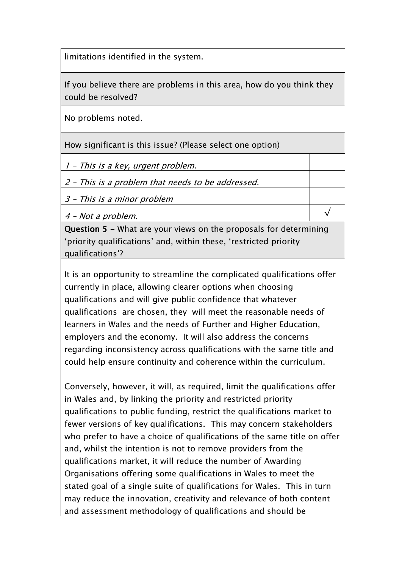limitations identified in the system.

If you believe there are problems in this area, how do you think they could be resolved?

No problems noted.

How significant is this issue? (Please select one option)

1 – This is a key, urgent problem.

2 – This is a problem that needs to be addressed.

3 – This is a minor problem

4 – Not a problem.

Question 5 - What are your views on the proposals for determining 'priority qualifications' and, within these, 'restricted priority qualifications'?

√

It is an opportunity to streamline the complicated qualifications offer currently in place, allowing clearer options when choosing qualifications and will give public confidence that whatever qualifications are chosen, they will meet the reasonable needs of learners in Wales and the needs of Further and Higher Education, employers and the economy. It will also address the concerns regarding inconsistency across qualifications with the same title and could help ensure continuity and coherence within the curriculum.

Conversely, however, it will, as required, limit the qualifications offer in Wales and, by linking the priority and restricted priority qualifications to public funding, restrict the qualifications market to fewer versions of key qualifications. This may concern stakeholders who prefer to have a choice of qualifications of the same title on offer and, whilst the intention is not to remove providers from the qualifications market, it will reduce the number of Awarding Organisations offering some qualifications in Wales to meet the stated goal of a single suite of qualifications for Wales. This in turn may reduce the innovation, creativity and relevance of both content and assessment methodology of qualifications and should be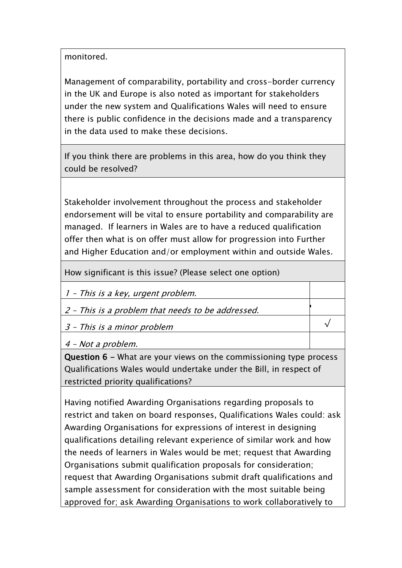monitored.

Management of comparability, portability and cross-border currency in the UK and Europe is also noted as important for stakeholders under the new system and Qualifications Wales will need to ensure there is public confidence in the decisions made and a transparency in the data used to make these decisions.

If you think there are problems in this area, how do you think they could be resolved?

Stakeholder involvement throughout the process and stakeholder endorsement will be vital to ensure portability and comparability are managed. If learners in Wales are to have a reduced qualification offer then what is on offer must allow for progression into Further and Higher Education and/or employment within and outside Wales.

How significant is this issue? (Please select one option)

1 – This is a key, urgent problem.

2 – This is a problem that needs to be addressed.

3 – This is a minor problem

4 – Not a problem.

Question 6 - What are your views on the commissioning type process Qualifications Wales would undertake under the Bill, in respect of restricted priority qualifications?

ŀ

√

Having notified Awarding Organisations regarding proposals to restrict and taken on board responses, Qualifications Wales could: ask Awarding Organisations for expressions of interest in designing qualifications detailing relevant experience of similar work and how the needs of learners in Wales would be met; request that Awarding Organisations submit qualification proposals for consideration; request that Awarding Organisations submit draft qualifications and sample assessment for consideration with the most suitable being approved for; ask Awarding Organisations to work collaboratively to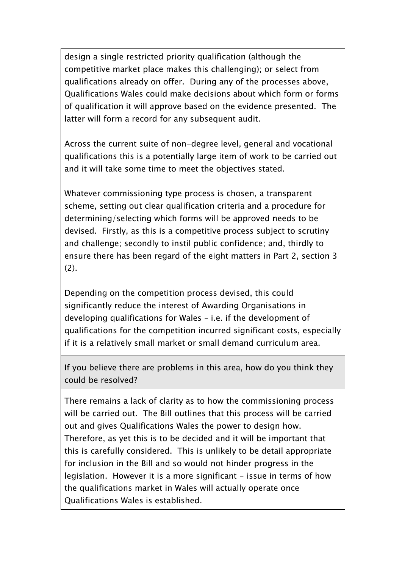design a single restricted priority qualification (although the competitive market place makes this challenging); or select from qualifications already on offer. During any of the processes above, Qualifications Wales could make decisions about which form or forms of qualification it will approve based on the evidence presented. The latter will form a record for any subsequent audit.

Across the current suite of non-degree level, general and vocational qualifications this is a potentially large item of work to be carried out and it will take some time to meet the objectives stated.

Whatever commissioning type process is chosen, a transparent scheme, setting out clear qualification criteria and a procedure for determining/selecting which forms will be approved needs to be devised. Firstly, as this is a competitive process subject to scrutiny and challenge; secondly to instil public confidence; and, thirdly to ensure there has been regard of the eight matters in Part 2, section 3 (2).

Depending on the competition process devised, this could significantly reduce the interest of Awarding Organisations in developing qualifications for Wales – i.e. if the development of qualifications for the competition incurred significant costs, especially if it is a relatively small market or small demand curriculum area.

If you believe there are problems in this area, how do you think they could be resolved?

There remains a lack of clarity as to how the commissioning process will be carried out. The Bill outlines that this process will be carried out and gives Qualifications Wales the power to design how. Therefore, as yet this is to be decided and it will be important that this is carefully considered. This is unlikely to be detail appropriate for inclusion in the Bill and so would not hinder progress in the legislation. However it is a more significant - issue in terms of how the qualifications market in Wales will actually operate once Qualifications Wales is established.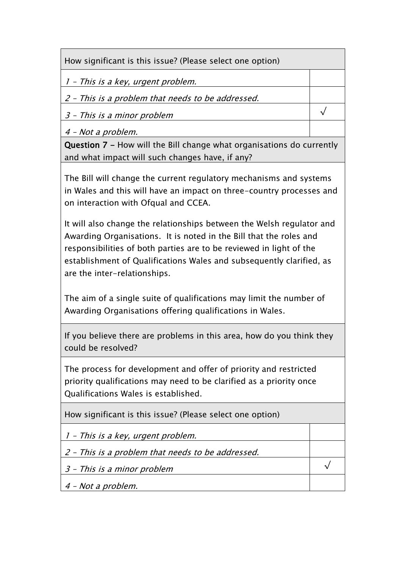How significant is this issue? (Please select one option)

1 – This is a key, urgent problem.

2 – This is a problem that needs to be addressed.

3 – This is a minor problem

4 – Not a problem.

Question 7 - How will the Bill change what organisations do currently and what impact will such changes have, if any?

√

√

The Bill will change the current regulatory mechanisms and systems in Wales and this will have an impact on three-country processes and on interaction with Ofqual and CCEA.

It will also change the relationships between the Welsh regulator and Awarding Organisations. It is noted in the Bill that the roles and responsibilities of both parties are to be reviewed in light of the establishment of Qualifications Wales and subsequently clarified, as are the inter-relationships.

The aim of a single suite of qualifications may limit the number of Awarding Organisations offering qualifications in Wales.

If you believe there are problems in this area, how do you think they could be resolved?

The process for development and offer of priority and restricted priority qualifications may need to be clarified as a priority once Qualifications Wales is established.

How significant is this issue? (Please select one option)

1 – This is a key, urgent problem.

2 – This is a problem that needs to be addressed.

3 – This is a minor problem

4 – Not a problem.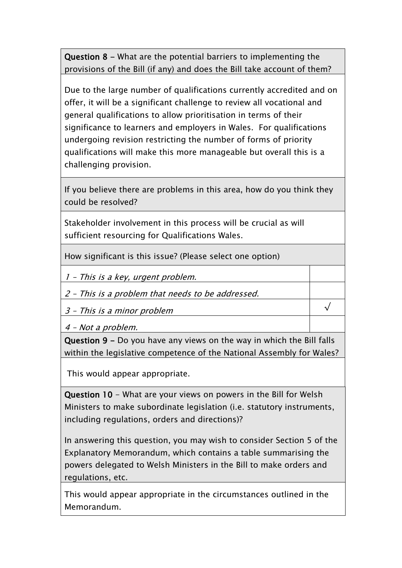Question 8 - What are the potential barriers to implementing the provisions of the Bill (if any) and does the Bill take account of them?

Due to the large number of qualifications currently accredited and on offer, it will be a significant challenge to review all vocational and general qualifications to allow prioritisation in terms of their significance to learners and employers in Wales. For qualifications undergoing revision restricting the number of forms of priority qualifications will make this more manageable but overall this is a challenging provision.

If you believe there are problems in this area, how do you think they could be resolved?

Stakeholder involvement in this process will be crucial as will sufficient resourcing for Qualifications Wales.

How significant is this issue? (Please select one option)

1 – This is a key, urgent problem.

2 – This is a problem that needs to be addressed.

3 – This is a minor problem

4 – Not a problem.

Question 9 - Do you have any views on the way in which the Bill falls within the legislative competence of the National Assembly for Wales?

√

This would appear appropriate.

Question 10 - What are your views on powers in the Bill for Welsh Ministers to make subordinate legislation (i.e. statutory instruments, including regulations, orders and directions)?

In answering this question, you may wish to consider Section 5 of the Explanatory Memorandum, which contains a table summarising the powers delegated to Welsh Ministers in the Bill to make orders and regulations, etc.

This would appear appropriate in the circumstances outlined in the Memorandum.